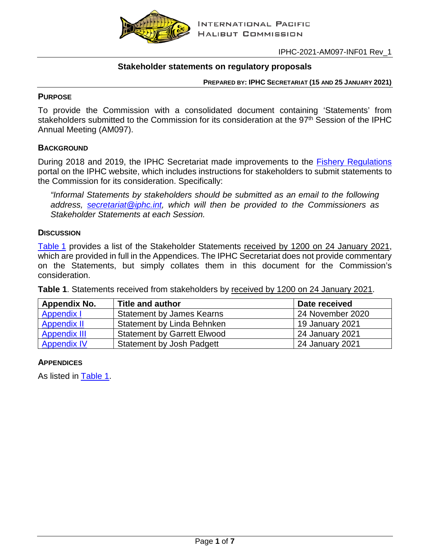

## **Stakeholder statements on regulatory proposals**

**PREPARED BY: IPHC SECRETARIAT (15 AND 25 JANUARY 2021)**

### **PURPOSE**

To provide the Commission with a consolidated document containing 'Statements' from stakeholders submitted to the Commission for its consideration at the 97<sup>th</sup> Session of the IPHC Annual Meeting (AM097).

### **BACKGROUND**

During 2018 and 2019, the IPHC Secretariat made improvements to the **Fishery Regulations** portal on the IPHC website, which includes instructions for stakeholders to submit statements to the Commission for its consideration. Specifically:

*"Informal Statements by stakeholders should be submitted as an email to the following address, [secretariat@iphc.int,](mailto:secretariat@iphc.int?subject=Regulation%20Statement) which will then be provided to the Commissioners as Stakeholder Statements at each Session.*

### **DISCUSSION**

[Table](#page-0-0) 1 provides a list of the Stakeholder Statements received by 1200 on 24 January 2021, which are provided in full in the Appendices. The IPHC Secretariat does not provide commentary on the Statements, but simply collates them in this document for the Commission's consideration.

<span id="page-0-0"></span>**Table 1**. Statements received from stakeholders by received by 1200 on 24 January 2021.

| Appendix No.        | <b>Title and author</b>            | Date received    |  |  |  |
|---------------------|------------------------------------|------------------|--|--|--|
| Appendix I          | <b>Statement by James Kearns</b>   | 24 November 2020 |  |  |  |
| <b>Appendix II</b>  | Statement by Linda Behnken         | 19 January 2021  |  |  |  |
| <b>Appendix III</b> | <b>Statement by Garrett Elwood</b> | 24 January 2021  |  |  |  |
| <b>Appendix IV</b>  | <b>Statement by Josh Padgett</b>   | 24 January 2021  |  |  |  |

### **APPENDICES**

As listed in [Table 1.](#page-0-0)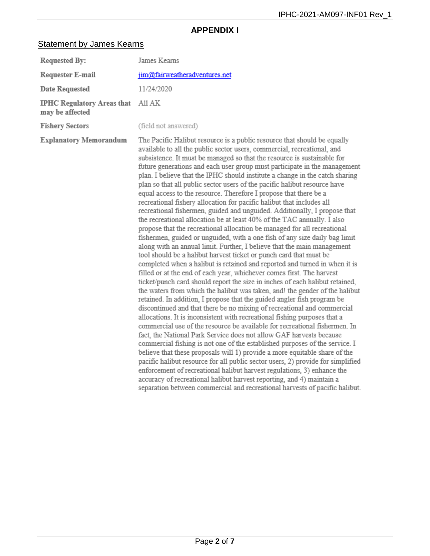# **APPENDIX I**

# <span id="page-1-0"></span>**Statement by James Kearns**

| <b>Requested By:</b>                                 | James Kearns                                                                                                                                                                                                                                                                                                                                                                                                                                                                                                                                                                                                                                                                                                                                                                                                                                                                                                                                                                                                                                                                                                                                                                                                                                                                                                                                                                                                                                                                                                                                                                                                                                                                                                                                                                                                                                                                                                                                                                                                                                                                                                                                                                                                                                                                               |
|------------------------------------------------------|--------------------------------------------------------------------------------------------------------------------------------------------------------------------------------------------------------------------------------------------------------------------------------------------------------------------------------------------------------------------------------------------------------------------------------------------------------------------------------------------------------------------------------------------------------------------------------------------------------------------------------------------------------------------------------------------------------------------------------------------------------------------------------------------------------------------------------------------------------------------------------------------------------------------------------------------------------------------------------------------------------------------------------------------------------------------------------------------------------------------------------------------------------------------------------------------------------------------------------------------------------------------------------------------------------------------------------------------------------------------------------------------------------------------------------------------------------------------------------------------------------------------------------------------------------------------------------------------------------------------------------------------------------------------------------------------------------------------------------------------------------------------------------------------------------------------------------------------------------------------------------------------------------------------------------------------------------------------------------------------------------------------------------------------------------------------------------------------------------------------------------------------------------------------------------------------------------------------------------------------------------------------------------------------|
| <b>Requester E-mail</b>                              | jim@fairweatheradventures.net                                                                                                                                                                                                                                                                                                                                                                                                                                                                                                                                                                                                                                                                                                                                                                                                                                                                                                                                                                                                                                                                                                                                                                                                                                                                                                                                                                                                                                                                                                                                                                                                                                                                                                                                                                                                                                                                                                                                                                                                                                                                                                                                                                                                                                                              |
| <b>Date Requested</b>                                | 11/24/2020                                                                                                                                                                                                                                                                                                                                                                                                                                                                                                                                                                                                                                                                                                                                                                                                                                                                                                                                                                                                                                                                                                                                                                                                                                                                                                                                                                                                                                                                                                                                                                                                                                                                                                                                                                                                                                                                                                                                                                                                                                                                                                                                                                                                                                                                                 |
| <b>IPHC Regulatory Areas that</b><br>may be affected | All AK                                                                                                                                                                                                                                                                                                                                                                                                                                                                                                                                                                                                                                                                                                                                                                                                                                                                                                                                                                                                                                                                                                                                                                                                                                                                                                                                                                                                                                                                                                                                                                                                                                                                                                                                                                                                                                                                                                                                                                                                                                                                                                                                                                                                                                                                                     |
| <b>Fishery Sectors</b>                               | (field not answered)                                                                                                                                                                                                                                                                                                                                                                                                                                                                                                                                                                                                                                                                                                                                                                                                                                                                                                                                                                                                                                                                                                                                                                                                                                                                                                                                                                                                                                                                                                                                                                                                                                                                                                                                                                                                                                                                                                                                                                                                                                                                                                                                                                                                                                                                       |
| <b>Explanatory Memorandum</b>                        | The Pacific Halibut resource is a public resource that should be equally<br>available to all the public sector users, commercial, recreational, and<br>subsistence. It must be managed so that the resource is sustainable for<br>future generations and each user group must participate in the management<br>plan. I believe that the IPHC should institute a change in the catch sharing<br>plan so that all public sector users of the pacific halibut resource have<br>equal access to the resource. Therefore I propose that there be a<br>recreational fishery allocation for pacific halibut that includes all<br>recreational fishermen, guided and unguided. Additionally, I propose that<br>the recreational allocation be at least 40% of the TAC annually. I also<br>propose that the recreational allocation be managed for all recreational<br>fishermen, guided or unguided, with a one fish of any size daily bag limit<br>along with an annual limit. Further, I believe that the main management<br>tool should be a halibut harvest ticket or punch card that must be<br>completed when a halibut is retained and reported and turned in when it is<br>filled or at the end of each year, whichever comes first. The harvest<br>ticket/punch card should report the size in inches of each halibut retained,<br>the waters from which the halibut was taken, and! the gender of the halibut<br>retained. In addition, I propose that the guided angler fish program be<br>discontinued and that there be no mixing of recreational and commercial<br>allocations. It is inconsistent with recreational fishing purposes that a<br>commercial use of the resource be available for recreational fishermen. In<br>fact, the National Park Service does not allow GAF harvests because<br>commercial fishing is not one of the established purposes of the service. I<br>believe that these proposals will 1) provide a more equitable share of the<br>pacific halibut resource for all public sector users, 2) provide for simplified<br>enforcement of recreational halibut harvest regulations, 3) enhance the<br>accuracy of recreational halibut harvest reporting, and 4) maintain a<br>separation between commercial and recreational harvests of pacific halibut. |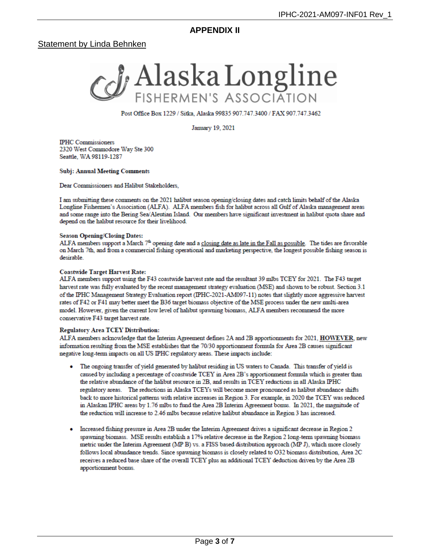**APPENDIX II** 

### <span id="page-2-0"></span>**Statement by Linda Behnken**



Post Office Box 1229 / Sitka, Alaska 99835 907.747.3400 / FAX 907.747.3462

January 19, 2021

**IPHC** Commissioners 2320 West Commodore Way Ste 300 Seattle, WA 98119-1287

#### **Subj: Annual Meeting Comments**

Dear Commissioners and Halibut Stakeholders,

I am submitting these comments on the 2021 halibut season opening/closing dates and catch limits behalf of the Alaska Longline Fishermen's Association (ALFA). ALFA members fish for halibut across all Gulf of Alaska management areas and some range into the Bering Sea/Aleutian Island. Our members have significant investment in halibut quota share and depend on the halibut resource for their livelihood.

#### **Season Opening/Closing Dates:**

ALFA members support a March 7<sup>th</sup> opening date and a closing date as late in the Fall as possible. The tides are favorable on March 7th, and from a commercial fishing operational and marketing perspective, the longest possible fishing season is desirable.

#### **Coastwide Target Harvest Rate:**

ALFA members support using the F43 coastwide harvest rate and the resultant 39 mlbs TCEY for 2021. The F43 target harvest rate was fully evaluated by the recent management strategy evaluation (MSE) and shown to be robust. Section 3.1 of the IPHC Management Strategy Evaluation report (IPHC-2021-AM097-11) notes that slightly more aggressive harvest rates of F42 or F41 may better meet the B36 target biomass objective of the MSE process under the new multi-area model. However, given the current low level of halibut spawning biomass, ALFA members recommend the more conservative F43 target harvest rate.

#### **Regulatory Area TCEY Distribution:**

ALFA members acknowledge that the Interim Agreement defines 2A and 2B apportionments for 2021, HOWEVER, new information resulting from the MSE establishes that the 70/30 apportionment formula for Area 2B causes significant negative long-term impacts on all US IPHC regulatory areas. These impacts include:

- The ongoing transfer of yield generated by halibut residing in US waters to Canada. This transfer of yield is caused by including a percentage of coastwide TCEY in Area 2B's apportionment formula which is greater than the relative abundance of the halibut resource in 2B, and results in TCEY reductions in all Alaska IPHC regulatory areas. The reductions in Alaska TCEYs will become more pronounced as halibut abundance shifts back to more historical patterns with relative increases in Region 3. For example, in 2020 the TCEY was reduced in Alaskan IPHC areas by 1.76 mlbs to fund the Area 2B Interim Agreement bonus. In 2021, the magnitude of the reduction will increase to 2.46 mlbs because relative halibut abundance in Region 3 has increased.
- Increased fishing pressure in Area 2B under the Interim Agreement drives a significant decrease in Region 2 spawning biomass. MSE results establish a 17% relative decrease in the Region 2 long-term spawning biomass metric under the Interim Agreement (MP B) vs. a FISS based distribution approach (MP J), which more closely follows local abundance trends. Since spawning biomass is closely related to O32 biomass distribution, Area 2C receives a reduced base share of the overall TCEY plus an additional TCEY deduction driven by the Area 2B apportionment bonus.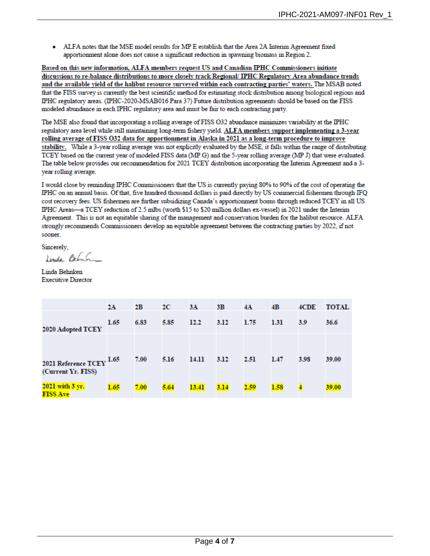ALFA notes that the MSE model results for MP E establish that the Area 2A Interim Agreement fixed apportionment alone does not cause a significant reduction in spawning biomass in Region 2.

Based on this new information, ALFA members request US and Canadian IPHC Commissioners initiate discussions to re-balance distributions to more closely track Regional/ IPHC Regulatory Area abundance trends and the available yield of the halibut resource surveyed within each contracting parties' waters. The MSAB noted that the FISS survey is currently the best scientific method for estimating stock distribution among biological regions and IPHC regulatory areas. (IPHC-2020-MSAB016 Para 37) Future distribution agreements should be based on the FISS modeled abundance in each IPHC regulatory area and must be fair to each contracting party.

The MSE also found that incorporating a rolling average of FISS 032 abundance minimizes variability at the IPHC regulatory area level while still maintaining long-term fishery yield. ALFA members support implementing a 3-year rolling average of FISS O32 data for apportionment in Alaska in 2021 as a long-term procedure to improve stability. While a 3-year rolling average was not explicitly evaluated by the MSE, it falls within the range of distributing TCEY based on the current year of modeled FISS data (MP G) and the 5-year rolling average (MP J) that were evaluated. The table below provides our recommendation for 2021 TCEY distribution incorporating the Interim Agreement and a 3year rolling average.

I would close by reminding IPHC Commissioners that the US is currently paying 80% to 90% of the cost of operating the IPHC on an annual basis. Of that, five hundred thousand dollars is paid directly by US commercial fishermen through IFQ cost recovery fees. US fishermen are further subsidizing Canada's apportionment bonus through reduced TCEY in all US IPHC Areas-a TCEY reduction of 2.5 mlbs (worth \$15 to \$20 million dollars ex-vessel) in 2021 under the Interim Agreement. This is not an equitable sharing of the management and conservation burden for the halibut resource. ALFA strongly recommends Commissioners develop an equitable agreement between the contracting parties by 2022, if not sooner.

Sincerely.

Lenda Belinh

Linda Behnken **Executive Director** 

|                                                             | 2Α   | 2В   | 2C   | 3A    | 3B   | 4A   | 4B   | 4CDE | <b>TOTAL</b> |
|-------------------------------------------------------------|------|------|------|-------|------|------|------|------|--------------|
| 2020 Adopted TCEY                                           | 1.65 | 6.83 | 5.85 | 12.2  | 3.12 | 1.75 | 1.31 | 3.9  | 36.6         |
| 2021 Reference $\mathrm{TCEY}^{1.65}$<br>(Current Yr. FISS) |      | 7.00 | 5.16 | 14.11 | 3.12 | 2.51 | 1.47 | 3.98 | 39.00        |
| 2021 with 3 yr.<br><b>FISS Ave</b>                          | 1.65 | 7.00 | 5.64 | 13.41 | 3.14 | 2.59 | 1.58 |      | 39.00        |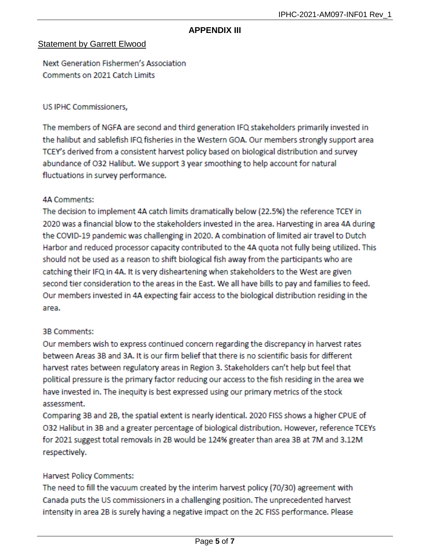## **APPENDIX III**

## <span id="page-4-0"></span>Statement by Garrett Elwood

Next Generation Fishermen's Association Comments on 2021 Catch Limits

### US IPHC Commissioners.

The members of NGFA are second and third generation IFQ stakeholders primarily invested in the halibut and sablefish IFQ fisheries in the Western GOA. Our members strongly support area TCEY's derived from a consistent harvest policy based on biological distribution and survey abundance of O32 Halibut. We support 3 year smoothing to help account for natural fluctuations in survey performance.

## **4A Comments:**

The decision to implement 4A catch limits dramatically below (22.5%) the reference TCEY in 2020 was a financial blow to the stakeholders invested in the area. Harvesting in area 4A during the COVID-19 pandemic was challenging in 2020. A combination of limited air travel to Dutch Harbor and reduced processor capacity contributed to the 4A quota not fully being utilized. This should not be used as a reason to shift biological fish away from the participants who are catching their IFQ in 4A. It is very disheartening when stakeholders to the West are given second tier consideration to the areas in the East. We all have bills to pay and families to feed. Our members invested in 4A expecting fair access to the biological distribution residing in the area.

# **3B Comments:**

Our members wish to express continued concern regarding the discrepancy in harvest rates between Areas 3B and 3A. It is our firm belief that there is no scientific basis for different harvest rates between regulatory areas in Region 3. Stakeholders can't help but feel that political pressure is the primary factor reducing our access to the fish residing in the area we have invested in. The inequity is best expressed using our primary metrics of the stock assessment.

Comparing 3B and 2B, the spatial extent is nearly identical. 2020 FISS shows a higher CPUE of O32 Halibut in 3B and a greater percentage of biological distribution. However, reference TCEYs for 2021 suggest total removals in 2B would be 124% greater than area 3B at 7M and 3.12M respectively.

# Harvest Policy Comments:

The need to fill the vacuum created by the interim harvest policy (70/30) agreement with Canada puts the US commissioners in a challenging position. The unprecedented harvest intensity in area 2B is surely having a negative impact on the 2C FISS performance. Please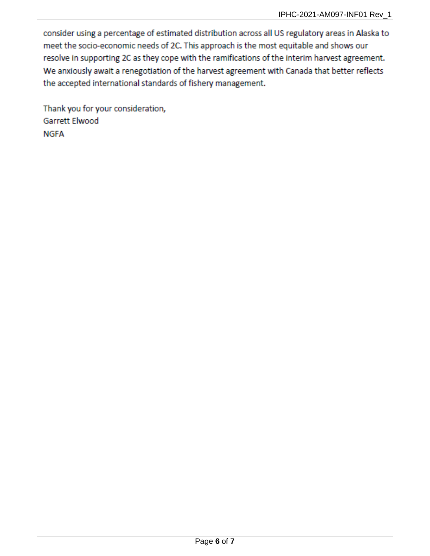consider using a percentage of estimated distribution across all US regulatory areas in Alaska to meet the socio-economic needs of 2C. This approach is the most equitable and shows our resolve in supporting 2C as they cope with the ramifications of the interim harvest agreement. We anxiously await a renegotiation of the harvest agreement with Canada that better reflects the accepted international standards of fishery management.

Thank you for your consideration, Garrett Elwood **NGFA**